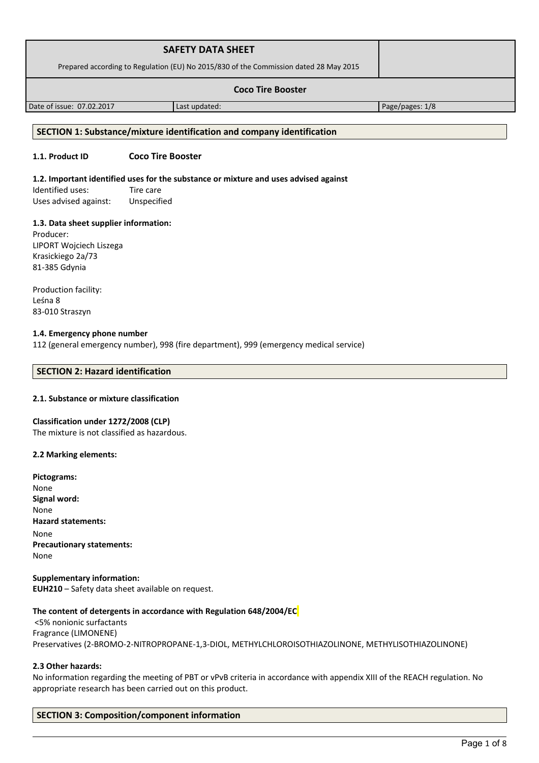|                                                                                       | <b>SAFETY DATA SHEET</b> |                 |
|---------------------------------------------------------------------------------------|--------------------------|-----------------|
| Prepared according to Regulation (EU) No 2015/830 of the Commission dated 28 May 2015 |                          |                 |
| <b>Coco Tire Booster</b>                                                              |                          |                 |
| Date of issue: 07.02.2017                                                             | Last updated:            | Page/pages: 1/8 |

## **SECTION 1: Substance/mixture identification and company identification**

## **1.1. Product ID Coco Tire Booster**

#### **1.2. Important identified uses for the substance or mixture and uses advised against**

Identified uses: Tire care Uses advised against: Unspecified

## **1.3. Data sheet supplier information:**

Producer: LIPORT Wojciech Liszega Krasickiego 2a/73 81-385 Gdynia

Production facility: Leśna 8 83-010 Straszyn

## **1.4. Emergency phone number**

112 (general emergency number), 998 (fire department), 999 (emergency medical service)

## **SECTION 2: Hazard identification**

## **2.1. Substance or mixture classification**

## **Classification under 1272/2008 (CLP)**

The mixture is not classified as hazardous.

## **2.2 Marking elements:**

**Supplementary information: EUH210** – Safety data sheet available on request.

## **The content of detergents in accordance with Regulation 648/2004/EC**

 <5% nonionic surfactants Fragrance (LIMONENE) Preservatives (2-BROMO-2-NITROPROPANE-1,3-DIOL, METHYLCHLOROISOTHIAZOLINONE, METHYLISOTHIAZOLINONE)

## **2.3 Other hazards:**

No information regarding the meeting of PBT or vPvB criteria in accordance with appendix XIII of the REACH regulation. No appropriate research has been carried out on this product.

# **SECTION 3: Composition/component information**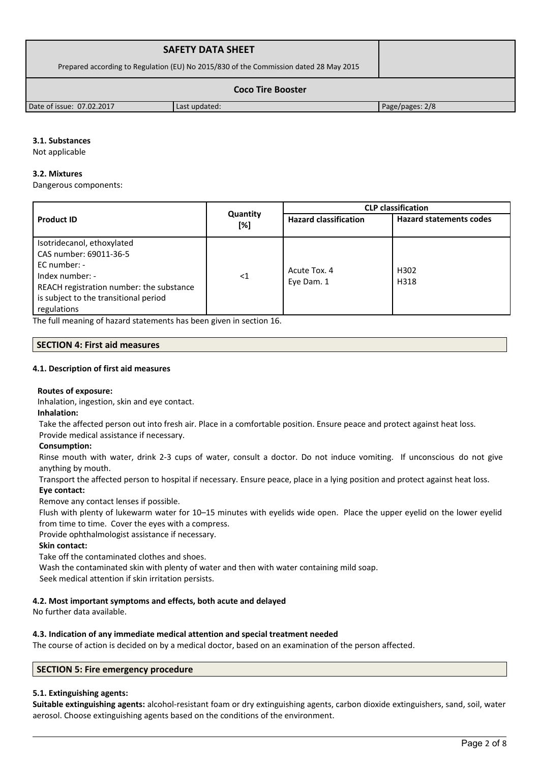|                                                                                       | <b>SAFETY DATA SHEET</b> |                 |  |
|---------------------------------------------------------------------------------------|--------------------------|-----------------|--|
| Prepared according to Regulation (EU) No 2015/830 of the Commission dated 28 May 2015 |                          |                 |  |
| <b>Coco Tire Booster</b>                                                              |                          |                 |  |
| Date of issue: 07.02.2017                                                             | Last updated:            | Page/pages: 2/8 |  |

## **3.1. Substances**

Not applicable

## **3.2. Mixtures**

Dangerous components:

|                                                                                                                                                                                             |                 | <b>CLP</b> classification    |                                |  |
|---------------------------------------------------------------------------------------------------------------------------------------------------------------------------------------------|-----------------|------------------------------|--------------------------------|--|
| <b>Product ID</b>                                                                                                                                                                           | Quantity<br>[%] | <b>Hazard classification</b> | <b>Hazard statements codes</b> |  |
| Isotridecanol, ethoxylated<br>CAS number: 69011-36-5<br>EC number: -<br>Index number: -<br>REACH registration number: the substance<br>is subject to the transitional period<br>regulations | $\leq$ 1        | Acute Tox. 4<br>Eye Dam. 1   | H302<br>H318                   |  |

The full meaning of hazard statements has been given in section 16.

## **SECTION 4: First aid measures**

## **4.1. Description of first aid measures**

## **Routes of exposure:**

Inhalation, ingestion, skin and eye contact.

**Inhalation:**

Take the affected person out into fresh air. Place in a comfortable position. Ensure peace and protect against heat loss.

## Provide medical assistance if necessary.

## **Consumption:**

Rinse mouth with water, drink 2-3 cups of water, consult a doctor. Do not induce vomiting. If unconscious do not give anything by mouth.

Transport the affected person to hospital if necessary. Ensure peace, place in a lying position and protect against heat loss. **Eye contact:**

Remove any contact lenses if possible.

Flush with plenty of lukewarm water for 10–15 minutes with eyelids wide open. Place the upper eyelid on the lower eyelid from time to time. Cover the eyes with a compress.

Provide ophthalmologist assistance if necessary.

## **Skin contact:**

Take off the contaminated clothes and shoes.

Wash the contaminated skin with plenty of water and then with water containing mild soap.

Seek medical attention if skin irritation persists.

# **4.2. Most important symptoms and effects, both acute and delayed**

No further data available.

## **4.3. Indication of any immediate medical attention and special treatment needed**

The course of action is decided on by a medical doctor, based on an examination of the person affected.

## **SECTION 5: Fire emergency procedure**

## **5.1. Extinguishing agents:**

**Suitable extinguishing agents:** alcohol-resistant foam or dry extinguishing agents, carbon dioxide extinguishers, sand, soil, water aerosol. Choose extinguishing agents based on the conditions of the environment.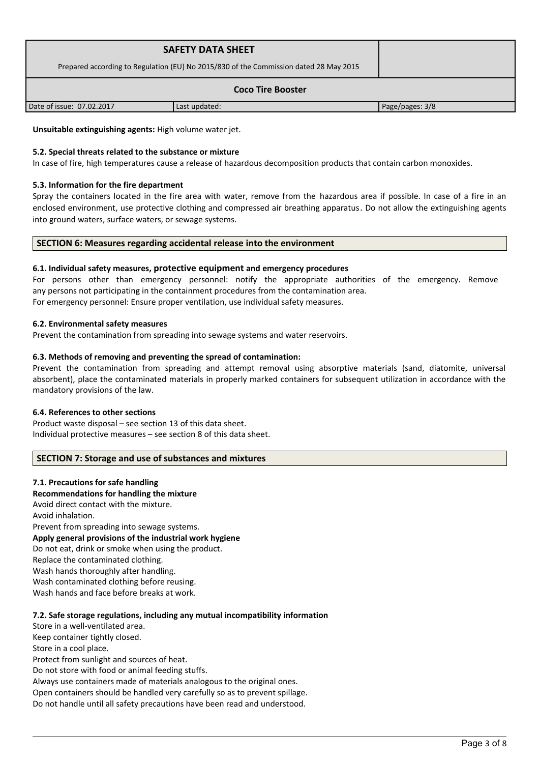|                                                                                       | <b>SAFETY DATA SHEET</b> |                 |  |
|---------------------------------------------------------------------------------------|--------------------------|-----------------|--|
| Prepared according to Regulation (EU) No 2015/830 of the Commission dated 28 May 2015 |                          |                 |  |
| <b>Coco Tire Booster</b>                                                              |                          |                 |  |
| Date of issue: 07.02.2017                                                             | Last updated:            | Page/pages: 3/8 |  |

**Unsuitable extinguishing agents:** High volume water jet.

## **5.2. Special threats related to the substance or mixture**

In case of fire, high temperatures cause a release of hazardous decomposition products that contain carbon monoxides.

## **5.3. Information for the fire department**

Spray the containers located in the fire area with water, remove from the hazardous area if possible. In case of a fire in an enclosed environment, use protective clothing and compressed air breathing apparatus. Do not allow the extinguishing agents into ground waters, surface waters, or sewage systems.

## **SECTION 6: Measures regarding accidental release into the environment**

## **6.1. Individual safety measures, protective equipment and emergency procedures**

For persons other than emergency personnel: notify the appropriate authorities of the emergency. Remove any persons not participating in the containment procedures from the contamination area. For emergency personnel: Ensure proper ventilation, use individual safety measures.

## **6.2. Environmental safety measures**

Prevent the contamination from spreading into sewage systems and water reservoirs.

## **6.3. Methods of removing and preventing the spread of contamination:**

Prevent the contamination from spreading and attempt removal using absorptive materials (sand, diatomite, universal absorbent), place the contaminated materials in properly marked containers for subsequent utilization in accordance with the mandatory provisions of the law.

## **6.4. References to other sections**

Product waste disposal – see section 13 of this data sheet. Individual protective measures – see section 8 of this data sheet.

## **SECTION 7: Storage and use of substances and mixtures**

## **7.1. Precautions for safe handling**

## **Recommendations for handling the mixture**

Avoid direct contact with the mixture.

Avoid inhalation.

Prevent from spreading into sewage systems. **Apply general provisions of the industrial work hygiene**  Do not eat, drink or smoke when using the product. Replace the contaminated clothing. Wash hands thoroughly after handling. Wash contaminated clothing before reusing. Wash hands and face before breaks at work.

## **7.2. Safe storage regulations, including any mutual incompatibility information**

Store in a well-ventilated area. Keep container tightly closed. Store in a cool place. Protect from sunlight and sources of heat.

Do not store with food or animal feeding stuffs.

Always use containers made of materials analogous to the original ones.

Open containers should be handled very carefully so as to prevent spillage.

Do not handle until all safety precautions have been read and understood.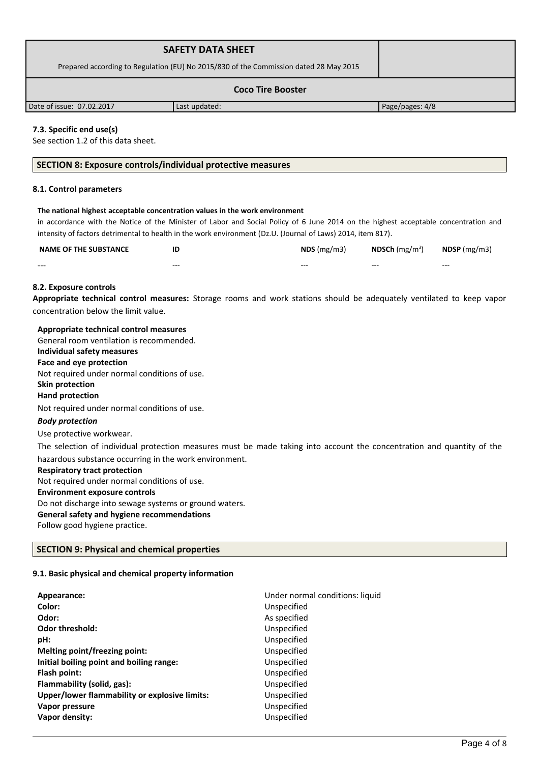|                                                                                       | <b>SAFETY DATA SHEET</b> |                 |  |
|---------------------------------------------------------------------------------------|--------------------------|-----------------|--|
| Prepared according to Regulation (EU) No 2015/830 of the Commission dated 28 May 2015 |                          |                 |  |
| <b>Coco Tire Booster</b>                                                              |                          |                 |  |
| Date of issue: 07.02.2017                                                             | Last updated:            | Page/pages: 4/8 |  |

## **7.3. Specific end use(s)**

See section 1.2 of this data sheet.

#### **SECTION 8: Exposure controls/individual protective measures**

#### **8.1. Control parameters**

#### **The national highest acceptable concentration values in the work environment**

in accordance with the Notice of the Minister of Labor and Social Policy of 6 June 2014 on the highest acceptable concentration and intensity of factors detrimental to health in the work environment (Dz.U. (Journal of Laws) 2014, item 817).

| <b>NAME OF THE SUBSTANCE</b> |         | $NDS$ (mg/m3) | <b>NDSCh</b> (mg/m <sup>3</sup> ) | $N$ DSP (mg/m3) |
|------------------------------|---------|---------------|-----------------------------------|-----------------|
| $- - -$                      | $- - -$ | $- - -$       | $- - -$                           | $- - -$         |

## **8.2. Exposure controls**

**Appropriate technical control measures:** Storage rooms and work stations should be adequately ventilated to keep vapor concentration below the limit value.

**Appropriate technical control measures**

General room ventilation is recommended.

# **Individual safety measures**

**Face and eye protection** Not required under normal conditions of use.

# **Skin protection**

# **Hand protection**

Not required under normal conditions of use.

#### *Body protection*

Use protective workwear.

The selection of individual protection measures must be made taking into account the concentration and quantity of the hazardous substance occurring in the work environment.

#### **Respiratory tract protection**

Not required under normal conditions of use. **Environment exposure controls** 

Do not discharge into sewage systems or ground waters.

## **General safety and hygiene recommendations**

Follow good hygiene practice.

## **SECTION 9: Physical and chemical properties**

#### **9.1. Basic physical and chemical property information**

| Appearance:                                   | Under normal conditions: liquid |
|-----------------------------------------------|---------------------------------|
| Color:                                        | Unspecified                     |
| Odor:                                         | As specified                    |
| <b>Odor threshold:</b>                        | Unspecified                     |
| pH:                                           | Unspecified                     |
| Melting point/freezing point:                 | Unspecified                     |
| Initial boiling point and boiling range:      | Unspecified                     |
| Flash point:                                  | Unspecified                     |
| Flammability (solid, gas):                    | Unspecified                     |
| Upper/lower flammability or explosive limits: | Unspecified                     |
| Vapor pressure                                | Unspecified                     |
| Vapor density:                                | Unspecified                     |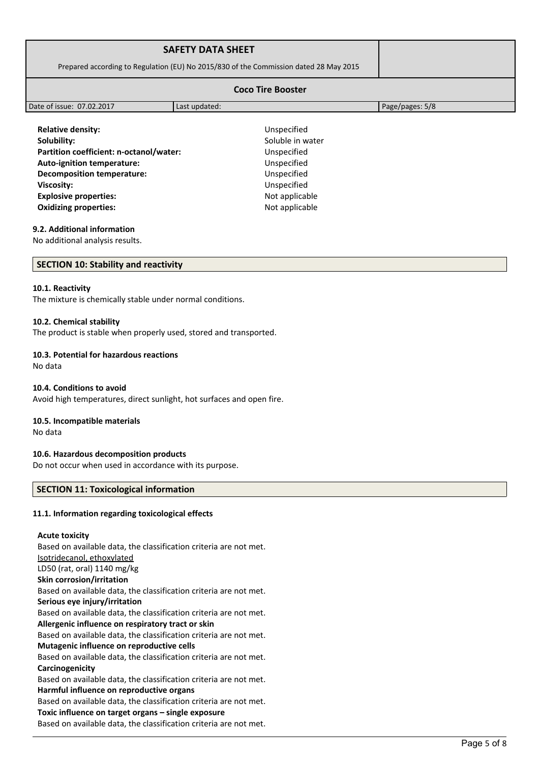| <b>SAFETY DATA SHEET</b><br>Prepared according to Regulation (EU) No 2015/830 of the Commission dated 28 May 2015 |               |                 |  |
|-------------------------------------------------------------------------------------------------------------------|---------------|-----------------|--|
| <b>Coco Tire Booster</b>                                                                                          |               |                 |  |
| Date of issue: 07.02.2017                                                                                         | Last updated: | Page/pages: 5/8 |  |

**Relative density:** Unspecified **Solubility:** Soluble in water Partition coefficient: n-octanol/water: Unspecified **Auto-ignition temperature:** Unspecified **Decomposition temperature:** Unspecified **Viscosity:** Unspecified **Explosive properties:**  $\blacksquare$ **Oxidizing properties:** Not applicable

#### **9.2. Additional information**

No additional analysis results.

#### **SECTION 10: Stability and reactivity**

#### **10.1. Reactivity**

The mixture is chemically stable under normal conditions.

#### **10.2. Chemical stability**

The product is stable when properly used, stored and transported.

#### **10.3. Potential for hazardous reactions**

No data

#### **10.4. Conditions to avoid**

Avoid high temperatures, direct sunlight, hot surfaces and open fire.

#### **10.5. Incompatible materials**

No data

#### **10.6. Hazardous decomposition products**

Do not occur when used in accordance with its purpose.

#### **SECTION 11: Toxicological information**

#### **11.1. Information regarding toxicological effects**

#### **Acute toxicity**

Based on available data, the classification criteria are not met. Isotridecanol, ethoxylated LD50 (rat, oral) 1140 mg/kg **Skin corrosion/irritation** Based on available data, the classification criteria are not met. **Serious eye injury/irritation** Based on available data, the classification criteria are not met. **Allergenic influence on respiratory tract or skin** Based on available data, the classification criteria are not met. **Mutagenic influence on reproductive cells** Based on available data, the classification criteria are not met. **Carcinogenicity** Based on available data, the classification criteria are not met. **Harmful influence on reproductive organs** Based on available data, the classification criteria are not met. **Toxic influence on target organs – single exposure** Based on available data, the classification criteria are not met.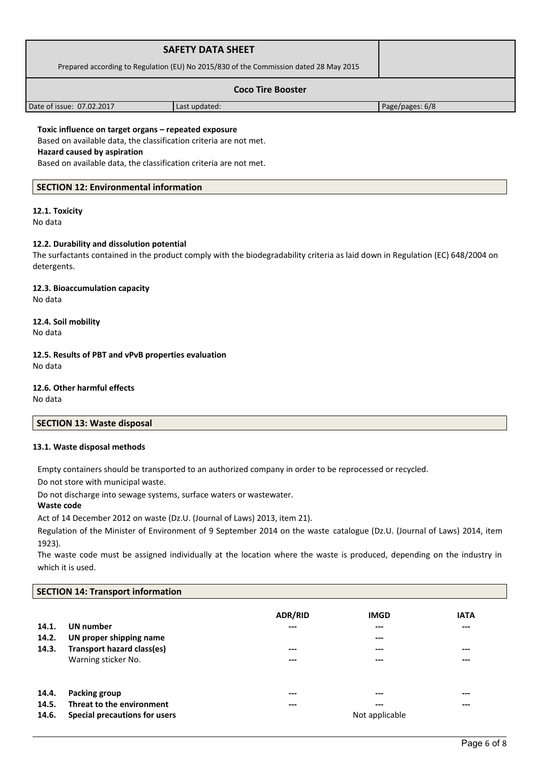|                                                                                       | <b>SAFETY DATA SHEET</b> |                 |  |
|---------------------------------------------------------------------------------------|--------------------------|-----------------|--|
| Prepared according to Regulation (EU) No 2015/830 of the Commission dated 28 May 2015 |                          |                 |  |
| <b>Coco Tire Booster</b>                                                              |                          |                 |  |
| Date of issue: 07.02.2017                                                             | Last updated:            | Page/pages: 6/8 |  |

**Toxic influence on target organs – repeated exposure** Based on available data, the classification criteria are not met. **Hazard caused by aspiration**

Based on available data, the classification criteria are not met.

# **SECTION 12: Environmental information**

# **12.1. Toxicity**

No data

## **12.2. Durability and dissolution potential**

The surfactants contained in the product comply with the biodegradability criteria as laid down in Regulation (EC) 648/2004 on detergents.

**12.3. Bioaccumulation capacity** No data

**12.4. Soil mobility** No data

**12.5. Results of PBT and vPvB properties evaluation** No data

**12.6. Other harmful effects**

No data

**SECTION 13: Waste disposal**

## **13.1. Waste disposal methods**

Empty containers should be transported to an authorized company in order to be reprocessed or recycled.

Do not store with municipal waste.

Do not discharge into sewage systems, surface waters or wastewater.

#### **Waste code**

Act of 14 December 2012 on waste (Dz.U. (Journal of Laws) 2013, item 21).

Regulation of the Minister of Environment of 9 September 2014 on the waste catalogue (Dz.U. (Journal of Laws) 2014, item 1923).

The waste code must be assigned individually at the location where the waste is produced, depending on the industry in which it is used.

# **SECTION 14: Transport information**

| 14.1.<br>14.2.<br>14.3. | UN number<br>UN proper shipping name<br>Transport hazard class(es)<br>Warning sticker No. | <b>ADR/RID</b><br>$---$<br>$---$<br>--- | <b>IMGD</b><br>---<br>---<br>---<br>--- | <b>IATA</b><br>$---$<br>$---$<br>$---$ |
|-------------------------|-------------------------------------------------------------------------------------------|-----------------------------------------|-----------------------------------------|----------------------------------------|
| 14.4.                   | Packing group                                                                             | ---                                     | ---                                     | $---$                                  |
| 14.5.                   | Threat to the environment                                                                 | ---                                     | ---                                     | $- - -$                                |
| 14.6.                   | Special precautions for users                                                             |                                         | Not applicable                          |                                        |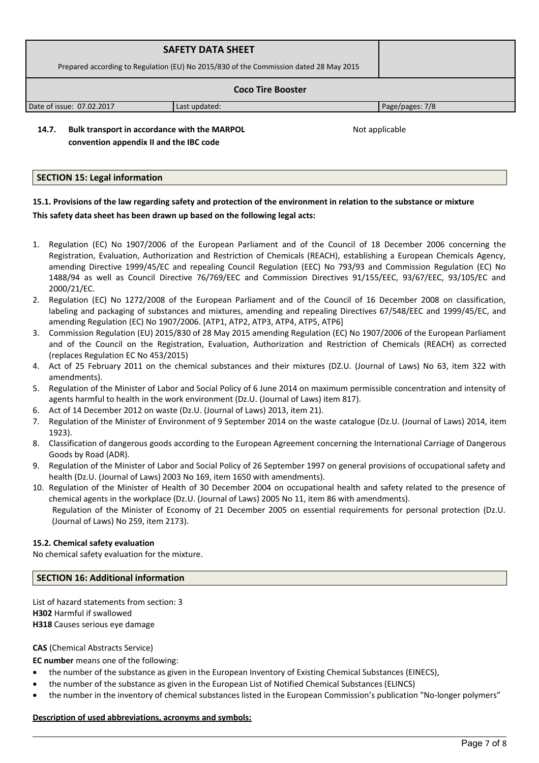|                                                                                       | <b>SAFETY DATA SHEET</b> |                 |  |
|---------------------------------------------------------------------------------------|--------------------------|-----------------|--|
| Prepared according to Regulation (EU) No 2015/830 of the Commission dated 28 May 2015 |                          |                 |  |
| <b>Coco Tire Booster</b>                                                              |                          |                 |  |
| Date of issue: 07.02.2017                                                             | Last updated:            | Page/pages: 7/8 |  |

**14.7. Bulk transport in accordance with the MARPOL convention appendix II and the IBC code** 

Not applicable

## **SECTION 15: Legal information**

# **15.1. Provisions of the law regarding safety and protection of the environment in relation to the substance or mixture This safety data sheet has been drawn up based on the following legal acts:**

- 1. Regulation (EC) No 1907/2006 of the European Parliament and of the Council of 18 December 2006 concerning the Registration, Evaluation, Authorization and Restriction of Chemicals (REACH), establishing a European Chemicals Agency, amending Directive 1999/45/EC and repealing Council Regulation (EEC) No 793/93 and Commission Regulation (EC) No 1488/94 as well as Council Directive 76/769/EEC and Commission Directives 91/155/EEC, 93/67/EEC, 93/105/EC and 2000/21/EC.
- 2. Regulation (EC) No 1272/2008 of the European Parliament and of the Council of 16 December 2008 on classification, labeling and packaging of substances and mixtures, amending and repealing Directives 67/548/EEC and 1999/45/EC, and amending Regulation (EC) No 1907/2006. [ATP1, ATP2, ATP3, ATP4, ATP5, ATP6]
- 3. Commission Regulation (EU) 2015/830 of 28 May 2015 amending Regulation (EC) No 1907/2006 of the European Parliament and of the Council on the Registration, Evaluation, Authorization and Restriction of Chemicals (REACH) as corrected (replaces Regulation EC No 453/2015)
- 4. Act of 25 February 2011 on the chemical substances and their mixtures (DZ.U. (Journal of Laws) No 63, item 322 with amendments).
- 5. Regulation of the Minister of Labor and Social Policy of 6 June 2014 on maximum permissible concentration and intensity of agents harmful to health in the work environment (Dz.U. (Journal of Laws) item 817).
- 6. Act of 14 December 2012 on waste (Dz.U. (Journal of Laws) 2013, item 21).
- 7. Regulation of the Minister of Environment of 9 September 2014 on the waste catalogue (Dz.U. (Journal of Laws) 2014, item 1923).
- 8. Classification of dangerous goods according to the European Agreement concerning the International Carriage of Dangerous Goods by Road (ADR).
- 9. Regulation of the Minister of Labor and Social Policy of 26 September 1997 on general provisions of occupational safety and health (Dz.U. (Journal of Laws) 2003 No 169, item 1650 with amendments).
- 10. Regulation of the Minister of Health of 30 December 2004 on occupational health and safety related to the presence of chemical agents in the workplace (Dz.U. (Journal of Laws) 2005 No 11, item 86 with amendments). Regulation of the Minister of Economy of 21 December 2005 on essential requirements for personal protection (Dz.U. (Journal of Laws) No 259, item 2173).

## **15.2. Chemical safety evaluation**

No chemical safety evaluation for the mixture.

# **SECTION 16: Additional information**

List of hazard statements from section: 3 **H302** Harmful if swallowed **H318** Causes serious eye damage

## **CAS** (Chemical Abstracts Service)

**EC number** means one of the following:

- the number of the substance as given in the European Inventory of Existing Chemical Substances (EINECS),
- the number of the substance as given in the European List of Notified Chemical Substances (ELINCS)
- the number in the inventory of chemical substances listed in the European Commission's publication "No-longer polymers"

## **Description of used abbreviations, acronyms and symbols:**